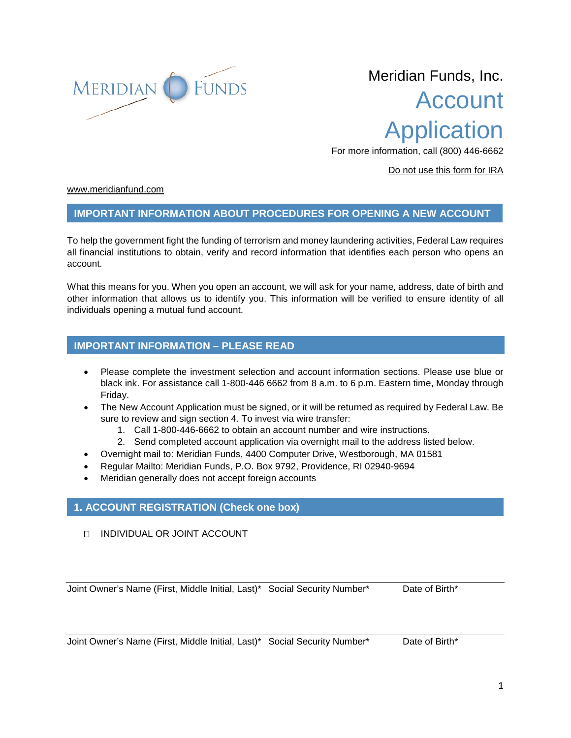

# Meridian Funds, Inc. Account Application

For more information, call (800) 446-6662

Do not use this form for IRA

[www.meridianfund.com](http://www.meridianfund.com/)

## **IMPORTANT INFORMATION ABOUT PROCEDURES FOR OPENING A NEW ACCOUNT**

To help the government fight the funding of terrorism and money laundering activities, Federal Law requires all financial institutions to obtain, verify and record information that identifies each person who opens an account.

What this means for you. When you open an account, we will ask for your name, address, date of birth and other information that allows us to identify you. This information will be verified to ensure identity of all individuals opening a mutual fund account.

# **IMPORTANT INFORMATION – PLEASE READ**

- Please complete the investment selection and account information sections. Please use blue or black ink. For assistance call 1-800-446 6662 from 8 a.m. to 6 p.m. Eastern time, Monday through Friday.
- The New Account Application must be signed, or it will be returned as required by Federal Law. Be sure to review and sign section 4. To invest via wire transfer:
	- 1. Call 1-800-446-6662 to obtain an account number and wire instructions.
	- 2. Send completed account application via overnight mail to the address listed below.
- Overnight mail to: Meridian Funds, 4400 Computer Drive, Westborough, MA 01581
- Regular Mailto: Meridian Funds, P.O. Box 9792, Providence, RI 02940-9694
- Meridian generally does not accept foreign accounts

## **1. ACCOUNT REGISTRATION (Check one box)**

INDIVIDUAL OR JOINT ACCOUNT

Joint Owner's Name (First, Middle Initial, Last)\* Social Security Number\* Date of Birth\*

Joint Owner's Name (First, Middle Initial, Last)\* Social Security Number\* Date of Birth\*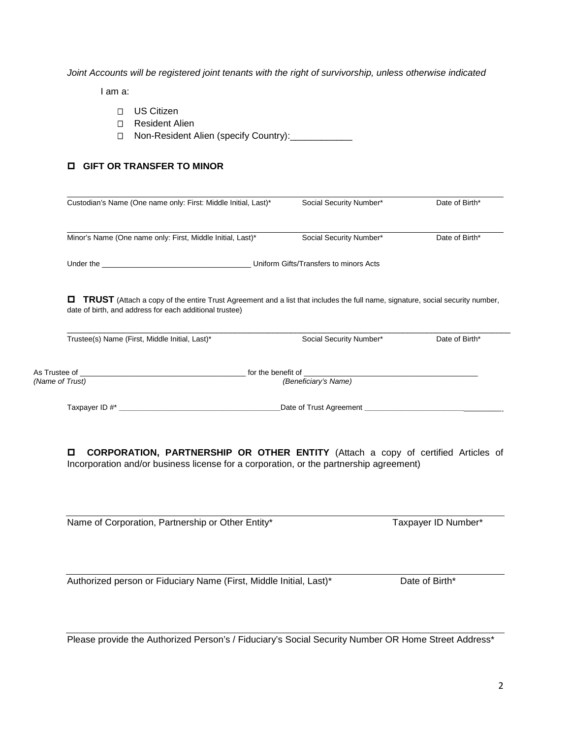*Joint Accounts will be registered joint tenants with the right of survivorship, unless otherwise indicated*

I am a:

- D US Citizen
- □ Resident Alien
- □ Non-Resident Alien (specify Country): \_\_\_\_\_\_\_\_\_\_\_\_\_

# **GIFT OR TRANSFER TO MINOR**

| Custodian's Name (One name only: First: Middle Initial, Last)*                                                                                                                                                                                         | Social Security Number* | Date of Birth* |
|--------------------------------------------------------------------------------------------------------------------------------------------------------------------------------------------------------------------------------------------------------|-------------------------|----------------|
| Minor's Name (One name only: First, Middle Initial, Last)*                                                                                                                                                                                             | Social Security Number* | Date of Birth* |
| Uniform Gifts/Transfers to minors Acts                                                                                                                                                                                                                 |                         |                |
|                                                                                                                                                                                                                                                        |                         |                |
| 0<br><b>TRUST</b> (Attach a copy of the entire Trust Agreement and a list that includes the full name, signature, social security number,                                                                                                              |                         |                |
| date of birth, and address for each additional trustee)                                                                                                                                                                                                |                         |                |
| Trustee(s) Name (First, Middle Initial, Last)*                                                                                                                                                                                                         | Social Security Number* | Date of Birth* |
| As Trustee of <u>the contract of the set of the benefit of</u> the benefit of the set of the set of the set of the set of the set of the set of the set of the set of the set of the set of the set of the set of the set of the se<br>(Name of Trust) | (Beneficiary's Name)    |                |

 **CORPORATION, PARTNERSHIP OR OTHER ENTITY** (Attach a copy of certified Articles of Incorporation and/or business license for a corporation, or the partnership agreement)

Name of Corporation, Partnership or Other Entity\* Taxpayer ID Number\*

Authorized person or Fiduciary Name (First, Middle Initial, Last)\* Date of Birth\*

Please provide the Authorized Person's / Fiduciary's Social Security Number OR Home Street Address\*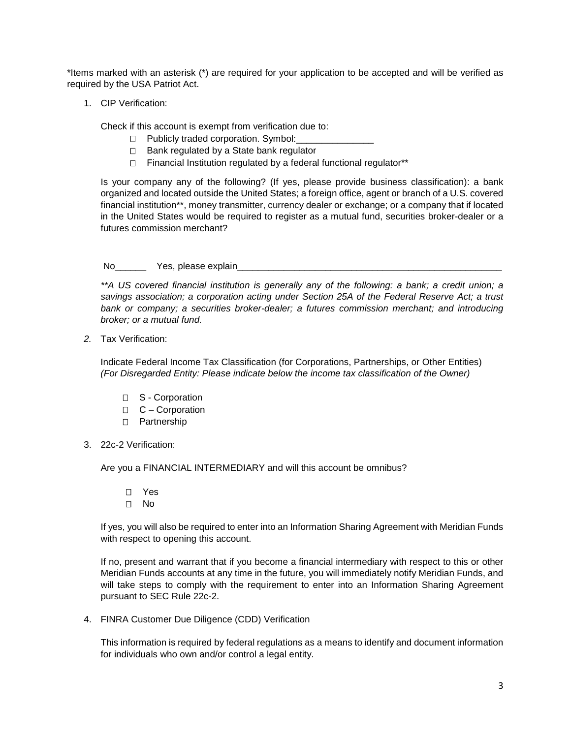\*Items marked with an asterisk (\*) are required for your application to be accepted and will be verified as required by the USA Patriot Act.

1. CIP Verification:

Check if this account is exempt from verification due to:

- $\Box$  Publicly traded corporation. Symbol:
- $\Box$  Bank regulated by a State bank regulator
- $\Box$  Financial Institution regulated by a federal functional regulator\*\*

Is your company any of the following? (If yes, please provide business classification): a bank organized and located outside the United States; a foreign office, agent or branch of a U.S. covered financial institution\*\*, money transmitter, currency dealer or exchange; or a company that if located in the United States would be required to register as a mutual fund, securities broker-dealer or a futures commission merchant?

#### No Yes, please explain

*\*\*A US covered financial institution is generally any of the following: a bank; a credit union; a savings association; a corporation acting under Section 25A of the Federal Reserve Act; a trust*  bank or company; a securities broker-dealer; a futures commission merchant; and introducing *broker; or a mutual fund.*

*2.* Tax Verification:

Indicate Federal Income Tax Classification (for Corporations, Partnerships, or Other Entities) *(For Disregarded Entity: Please indicate below the income tax classification of the Owner)*

- □ S Corporation
- $C -$ Corporation
- D Partnership
- 3. 22c-2 Verification:

Are you a FINANCIAL INTERMEDIARY and will this account be omnibus?

 Yes No

If yes, you will also be required to enter into an Information Sharing Agreement with Meridian Funds with respect to opening this account.

If no, present and warrant that if you become a financial intermediary with respect to this or other Meridian Funds accounts at any time in the future, you will immediately notify Meridian Funds, and will take steps to comply with the requirement to enter into an Information Sharing Agreement pursuant to SEC Rule 22c-2.

4. FINRA Customer Due Diligence (CDD) Verification

This information is required by federal regulations as a means to identify and document information for individuals who own and/or control a legal entity.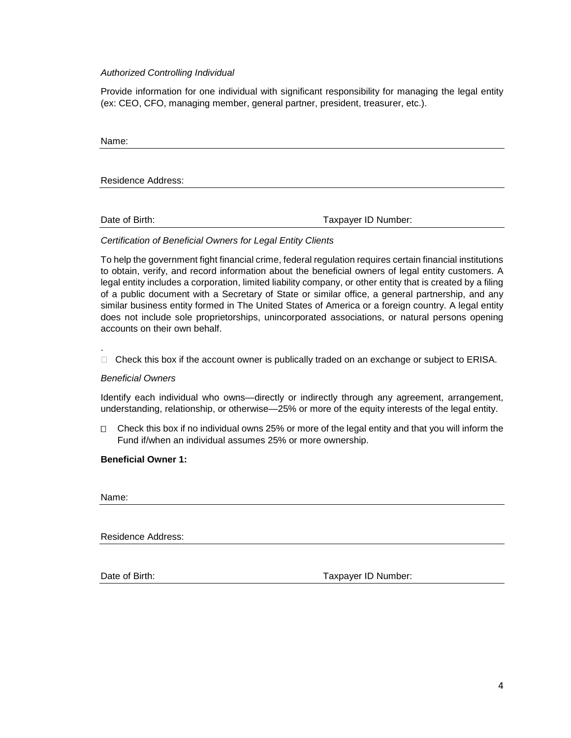#### *Authorized Controlling Individual*

Provide information for one individual with significant responsibility for managing the legal entity (ex: CEO, CFO, managing member, general partner, president, treasurer, etc.).

| Name:                     |                     |
|---------------------------|---------------------|
|                           |                     |
| <b>Residence Address:</b> |                     |
| Date of Birth:            | Taxpayer ID Number: |

#### *Certification of Beneficial Owners for Legal Entity Clients*

To help the government fight financial crime, federal regulation requires certain financial institutions to obtain, verify, and record information about the beneficial owners of legal entity customers. A legal entity includes a corporation, limited liability company, or other entity that is created by a filing of a public document with a Secretary of State or similar office, a general partnership, and any similar business entity formed in The United States of America or a foreign country. A legal entity does not include sole proprietorships, unincorporated associations, or natural persons opening accounts on their own behalf.

 $\Box$  Check this box if the account owner is publically traded on an exchange or subject to ERISA.

#### *Beneficial Owners*

Identify each individual who owns—directly or indirectly through any agreement, arrangement, understanding, relationship, or otherwise—25% or more of the equity interests of the legal entity.

 $\Box$  Check this box if no individual owns 25% or more of the legal entity and that you will inform the Fund if/when an individual assumes 25% or more ownership.

#### **Beneficial Owner 1:**

Name:

.

Residence Address:

Date of Birth: Taxpayer ID Number: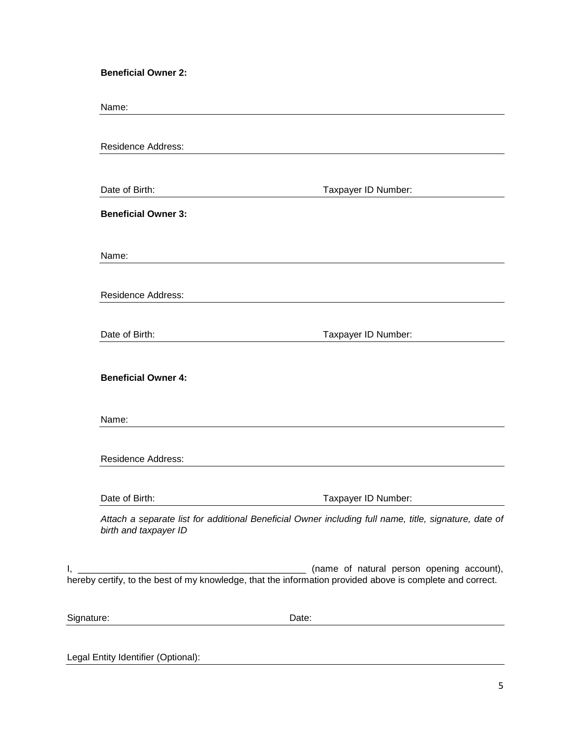**Beneficial Owner 2:**

Name:

|                            | <b>Residence Address:</b>                                                                                                                          |
|----------------------------|----------------------------------------------------------------------------------------------------------------------------------------------------|
| Date of Birth:             | Taxpayer ID Number:                                                                                                                                |
| <b>Beneficial Owner 3:</b> |                                                                                                                                                    |
| Name:                      |                                                                                                                                                    |
| <b>Residence Address:</b>  |                                                                                                                                                    |
| Date of Birth:             | Taxpayer ID Number:                                                                                                                                |
|                            |                                                                                                                                                    |
| <b>Beneficial Owner 4:</b> |                                                                                                                                                    |
| Name:                      |                                                                                                                                                    |
| <b>Residence Address:</b>  |                                                                                                                                                    |
| Date of Birth:             | Taxpayer ID Number:                                                                                                                                |
| birth and taxpayer ID      |                                                                                                                                                    |
|                            | Attach a separate list for additional Beneficial Owner including full name, title, signature, date of<br>(name of natural person opening account), |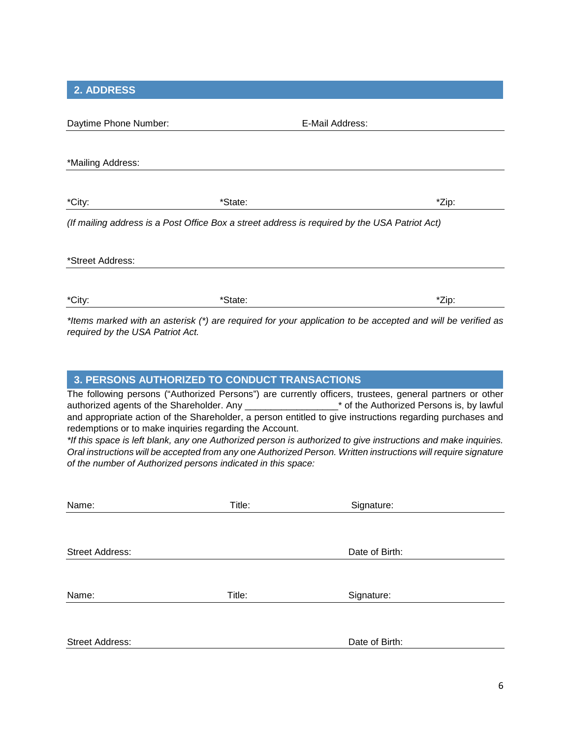**2. ADDRESS**

| Daytime Phone Number: |         | E-Mail Address:                                                                                                                                                                                                                        |
|-----------------------|---------|----------------------------------------------------------------------------------------------------------------------------------------------------------------------------------------------------------------------------------------|
|                       |         |                                                                                                                                                                                                                                        |
| *Mailing Address:     |         |                                                                                                                                                                                                                                        |
|                       |         |                                                                                                                                                                                                                                        |
| *City:                | *State: | *Zip:                                                                                                                                                                                                                                  |
|                       |         | (If mailing address is a Post Office Box a street address is required by the USA Patriot Act)                                                                                                                                          |
| *Street Address:      |         |                                                                                                                                                                                                                                        |
|                       |         |                                                                                                                                                                                                                                        |
| *City:                | *State: | *Zip:                                                                                                                                                                                                                                  |
| $-1.11$<br>.          |         | $\mathbf{r}$ , and a set of the set of the set of the set of the set of the set of the set of the set of the set of the set of the set of the set of the set of the set of the set of the set of the set of the set of the set of<br>. |

*\*Items marked with an asterisk (\*) are required for your application to be accepted and will be verified as required by the USA Patriot Act.*

# **3. PERSONS AUTHORIZED TO CONDUCT TRANSACTIONS**

The following persons ("Authorized Persons") are currently officers, trustees, general partners or other authorized agents of the Shareholder. Any the Shareholder of the Authorized Persons is, by lawful and appropriate action of the Shareholder, a person entitled to give instructions regarding purchases and redemptions or to make inquiries regarding the Account.

*\*If this space is left blank, any one Authorized person is authorized to give instructions and make inquiries. Oral instructions will be accepted from any one Authorized Person. Written instructions will require signature of the number of Authorized persons indicated in this space:*

| Name:           | Title: | Signature:     |
|-----------------|--------|----------------|
|                 |        |                |
|                 |        |                |
| Street Address: |        | Date of Birth: |
|                 |        |                |
| Name:           | Title: |                |
|                 |        | Signature:     |
|                 |        |                |
| Street Address: |        | Date of Birth: |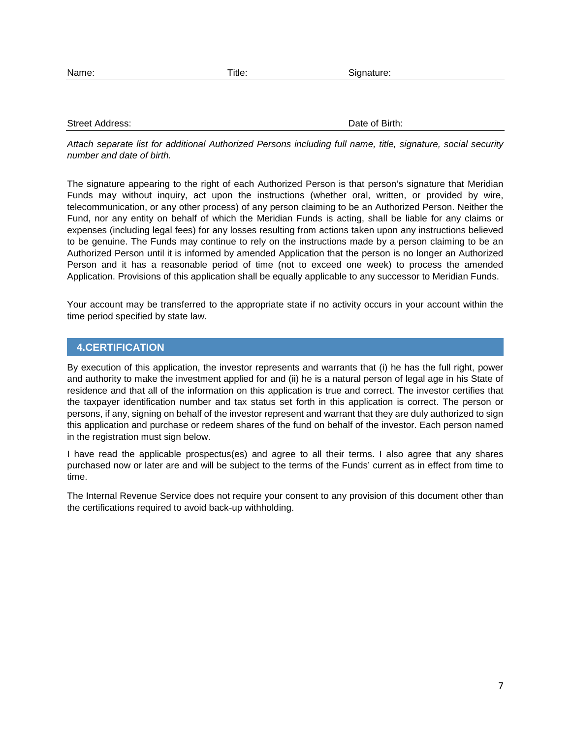| Name: |  |
|-------|--|

Street Address: Date of Birth: Date of Birth: Date of Birth: Date of Birth: Date of Birth: Date of Birth: Date of Birth: Date of Birth: Date of Birth: Date of Birth: Date of Birth: Date of Birth: Date of Birth: Date of Bir

*Attach separate list for additional Authorized Persons including full name, title, signature, social security number and date of birth.*

The signature appearing to the right of each Authorized Person is that person's signature that Meridian Funds may without inquiry, act upon the instructions (whether oral, written, or provided by wire, telecommunication, or any other process) of any person claiming to be an Authorized Person. Neither the Fund, nor any entity on behalf of which the Meridian Funds is acting, shall be liable for any claims or expenses (including legal fees) for any losses resulting from actions taken upon any instructions believed to be genuine. The Funds may continue to rely on the instructions made by a person claiming to be an Authorized Person until it is informed by amended Application that the person is no longer an Authorized Person and it has a reasonable period of time (not to exceed one week) to process the amended Application. Provisions of this application shall be equally applicable to any successor to Meridian Funds.

Your account may be transferred to the appropriate state if no activity occurs in your account within the time period specified by state law.

# **4.CERTIFICATION**

By execution of this application, the investor represents and warrants that (i) he has the full right, power and authority to make the investment applied for and (ii) he is a natural person of legal age in his State of residence and that all of the information on this application is true and correct. The investor certifies that the taxpayer identification number and tax status set forth in this application is correct. The person or persons, if any, signing on behalf of the investor represent and warrant that they are duly authorized to sign this application and purchase or redeem shares of the fund on behalf of the investor. Each person named in the registration must sign below.

I have read the applicable prospectus(es) and agree to all their terms. I also agree that any shares purchased now or later are and will be subject to the terms of the Funds' current as in effect from time to time.

The Internal Revenue Service does not require your consent to any provision of this document other than the certifications required to avoid back-up withholding.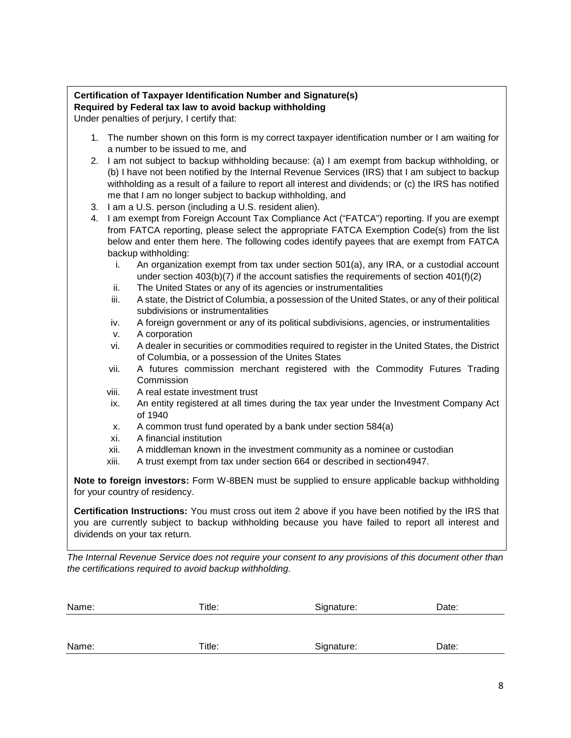# **Certification of Taxpayer Identification Number and Signature(s) Required by Federal tax law to avoid backup withholding** Under penalties of perjury, I certify that:

- 1. The number shown on this form is my correct taxpayer identification number or I am waiting for a number to be issued to me, and
- 2. I am not subject to backup withholding because: (a) I am exempt from backup withholding, or (b) I have not been notified by the Internal Revenue Services (IRS) that I am subject to backup withholding as a result of a failure to report all interest and dividends; or (c) the IRS has notified me that I am no longer subject to backup withholding, and
- 3. I am a U.S. person (including a U.S. resident alien).
- 4. I am exempt from Foreign Account Tax Compliance Act ("FATCA") reporting. If you are exempt from FATCA reporting, please select the appropriate FATCA Exemption Code(s) from the list below and enter them here. The following codes identify payees that are exempt from FATCA backup withholding:
	- i. An organization exempt from tax under section 501(a), any IRA, or a custodial account under section 403(b)(7) if the account satisfies the requirements of section 401(f)(2)
	- ii. The United States or any of its agencies or instrumentalities
	- iii. A state, the District of Columbia, a possession of the United States, or any of their political subdivisions or instrumentalities
	- iv. A foreign government or any of its political subdivisions, agencies, or instrumentalities
	- v. A corporation
	- vi. A dealer in securities or commodities required to register in the United States, the District of Columbia, or a possession of the Unites States
	- vii. A futures commission merchant registered with the Commodity Futures Trading **Commission**
	- viii. A real estate investment trust
	- ix. An entity registered at all times during the tax year under the Investment Company Act of 1940
	- x. A common trust fund operated by a bank under section 584(a)
	- xi. A financial institution
	- xii. A middleman known in the investment community as a nominee or custodian
	- xiii. A trust exempt from tax under section 664 or described in section4947.

**Note to foreign investors:** Form W-8BEN must be supplied to ensure applicable backup withholding for your country of residency.

**Certification Instructions:** You must cross out item 2 above if you have been notified by the IRS that you are currently subject to backup withholding because you have failed to report all interest and dividends on your tax return.

*The Internal Revenue Service does not require your consent to any provisions of this document other than the certifications required to avoid backup withholding.*

| Name: | Title: | Signature: | Date: |  |
|-------|--------|------------|-------|--|
|       |        |            |       |  |
|       |        |            |       |  |
| Name: | Title: | Signature: | Date: |  |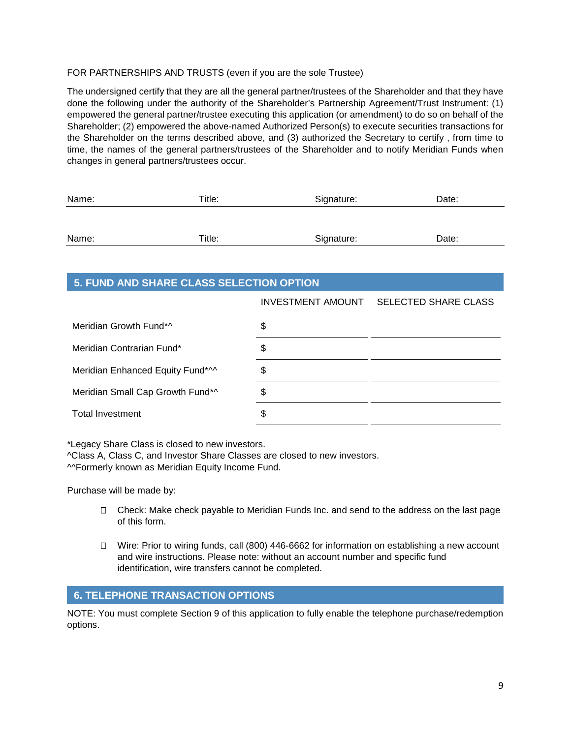# FOR PARTNERSHIPS AND TRUSTS (even if you are the sole Trustee)

The undersigned certify that they are all the general partner/trustees of the Shareholder and that they have done the following under the authority of the Shareholder's Partnership Agreement/Trust Instrument: (1) empowered the general partner/trustee executing this application (or amendment) to do so on behalf of the Shareholder; (2) empowered the above-named Authorized Person(s) to execute securities transactions for the Shareholder on the terms described above, and (3) authorized the Secretary to certify , from time to time, the names of the general partners/trustees of the Shareholder and to notify Meridian Funds when changes in general partners/trustees occur.

| Name: | Title: | Signature: | Date: |
|-------|--------|------------|-------|
|       |        |            |       |
| Name: | Title: | Signature: | Date: |

# **5. FUND AND SHARE CLASS SELECTION OPTION**

|                                  | INVESTMENT AMOUNT SELECTED SHARE CLASS |
|----------------------------------|----------------------------------------|
| Meridian Growth Fund*^           | \$                                     |
| Meridian Contrarian Fund*        | \$                                     |
| Meridian Enhanced Equity Fund*^^ | \$                                     |
| Meridian Small Cap Growth Fund*^ | \$                                     |
| <b>Total Investment</b>          | \$                                     |

\*Legacy Share Class is closed to new investors.

^Class A, Class C, and Investor Share Classes are closed to new investors. ^^Formerly known as Meridian Equity Income Fund.

Purchase will be made by:

- $\Box$  Check: Make check payable to Meridian Funds Inc. and send to the address on the last page of this form.
- Wire: Prior to wiring funds, call (800) 446-6662 for information on establishing a new account and wire instructions. Please note: without an account number and specific fund identification, wire transfers cannot be completed.

# **6. TELEPHONE TRANSACTION OPTIONS**

NOTE: You must complete Section 9 of this application to fully enable the telephone purchase/redemption options.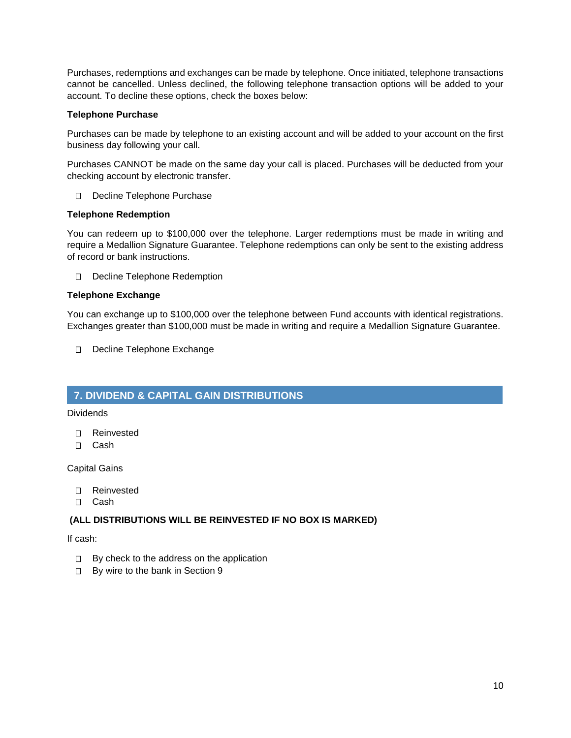Purchases, redemptions and exchanges can be made by telephone. Once initiated, telephone transactions cannot be cancelled. Unless declined, the following telephone transaction options will be added to your account. To decline these options, check the boxes below:

## **Telephone Purchase**

Purchases can be made by telephone to an existing account and will be added to your account on the first business day following your call.

Purchases CANNOT be made on the same day your call is placed. Purchases will be deducted from your checking account by electronic transfer.

Decline Telephone Purchase

# **Telephone Redemption**

You can redeem up to \$100,000 over the telephone. Larger redemptions must be made in writing and require a Medallion Signature Guarantee. Telephone redemptions can only be sent to the existing address of record or bank instructions.

D Decline Telephone Redemption

# **Telephone Exchange**

You can exchange up to \$100,000 over the telephone between Fund accounts with identical registrations. Exchanges greater than \$100,000 must be made in writing and require a Medallion Signature Guarantee.

Decline Telephone Exchange

# **7. DIVIDEND & CAPITAL GAIN DISTRIBUTIONS**

Dividends

- Reinvested
- Cash

Capital Gains

- Reinvested
- Cash

# **(ALL DISTRIBUTIONS WILL BE REINVESTED IF NO BOX IS MARKED)**

If cash:

- $\Box$  By check to the address on the application
- □ By wire to the bank in Section 9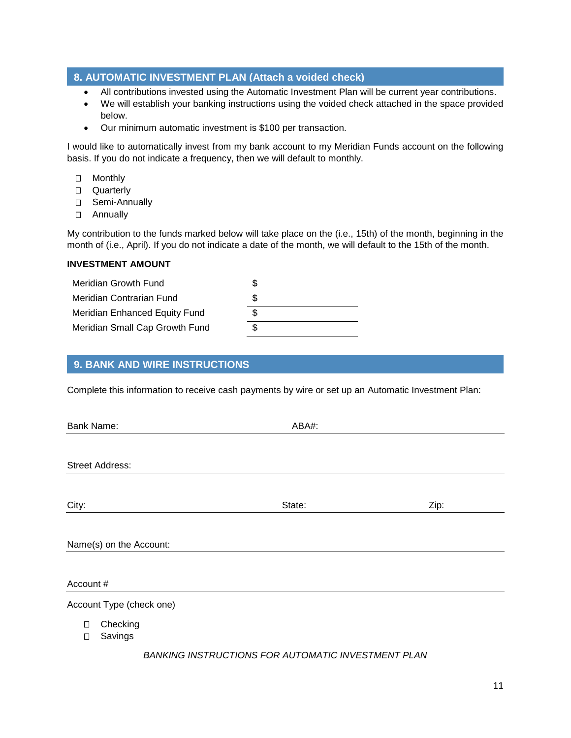# **8. AUTOMATIC INVESTMENT PLAN (Attach a voided check)**

- All contributions invested using the Automatic Investment Plan will be current year contributions.
- We will establish your banking instructions using the voided check attached in the space provided below.
- Our minimum automatic investment is \$100 per transaction.

I would like to automatically invest from my bank account to my Meridian Funds account on the following basis. If you do not indicate a frequency, then we will default to monthly.

- Monthly
- □ Quarterly
- □ Semi-Annually
- Annually

My contribution to the funds marked below will take place on the (i.e., 15th) of the month, beginning in the month of (i.e., April). If you do not indicate a date of the month, we will default to the 15th of the month.

#### **INVESTMENT AMOUNT**

| Meridian Growth Fund           |  |
|--------------------------------|--|
| Meridian Contrarian Fund       |  |
| Meridian Enhanced Equity Fund  |  |
| Meridian Small Cap Growth Fund |  |

# **9. BANK AND WIRE INSTRUCTIONS**

Complete this information to receive cash payments by wire or set up an Automatic Investment Plan:

| Bank Name:               | ABA#:  |      |
|--------------------------|--------|------|
|                          |        |      |
| <b>Street Address:</b>   |        |      |
|                          |        |      |
| City:                    | State: | Zip: |
|                          |        |      |
| Name(s) on the Account:  |        |      |
| Account #                |        |      |
| Account Type (check one) |        |      |
|                          |        |      |

- □ Checking
- □ Savings

## *BANKING INSTRUCTIONS FOR AUTOMATIC INVESTMENT PLAN*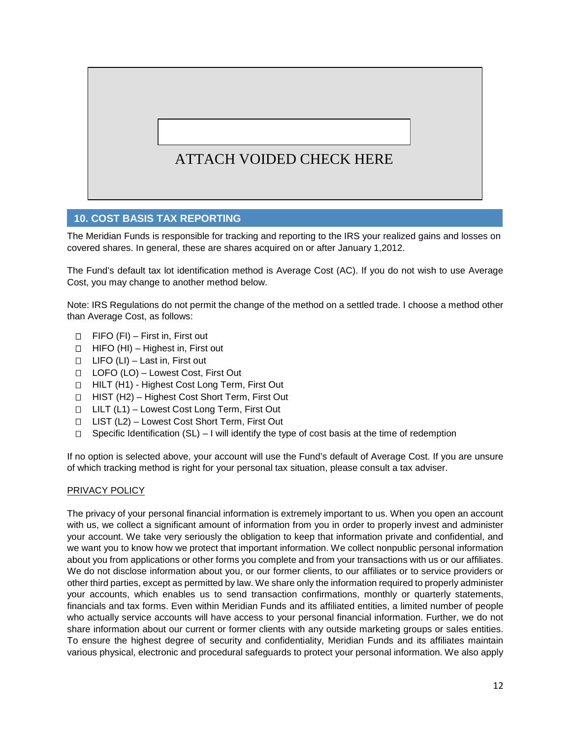# ATTACH VOIDED CHECK HERE

# **10. COST BASIS TAX REPORTING**

The Meridian Funds is responsible for tracking and reporting to the IRS your realized gains and losses on covered shares. In general, these are shares acquired on or after January 1,2012.

The Fund's default tax lot identification method is Average Cost (AC). If you do not wish to use Average Cost, you may change to another method below.

Note: IRS Regulations do not permit the change of the method on a settled trade. I choose a method other than Average Cost, as follows:

- $\Box$  FIFO (FI) First in, First out
- $\Box$  HIFO (HI) Highest in, First out
- $\Box$  LIFO (LI) Last in, First out
- LOFO (LO) Lowest Cost, First Out
- □ HILT (H1) Highest Cost Long Term, First Out
- □ HIST (H2) Highest Cost Short Term, First Out
- □ LILT (L1) Lowest Cost Long Term, First Out
- LIST (L2) Lowest Cost Short Term, First Out
- $\Box$  Specific Identification (SL) I will identify the type of cost basis at the time of redemption

If no option is selected above, your account will use the Fund's default of Average Cost. If you are unsure of which tracking method is right for your personal tax situation, please consult a tax adviser.

#### PRIVACY POLICY

The privacy of your personal financial information is extremely important to us. When you open an account with us, we collect a significant amount of information from you in order to properly invest and administer your account. We take very seriously the obligation to keep that information private and confidential, and we want you to know how we protect that important information. We collect nonpublic personal information about you from applications or other forms you complete and from your transactions with us or our affiliates. We do not disclose information about you, or our former clients, to our affiliates or to service providers or other third parties, except as permitted by law. We share only the information required to properly administer your accounts, which enables us to send transaction confirmations, monthly or quarterly statements, financials and tax forms. Even within Meridian Funds and its affiliated entities, a limited number of people who actually service accounts will have access to your personal financial information. Further, we do not share information about our current or former clients with any outside marketing groups or sales entities. To ensure the highest degree of security and confidentiality, Meridian Funds and its affiliates maintain various physical, electronic and procedural safeguards to protect your personal information. We also apply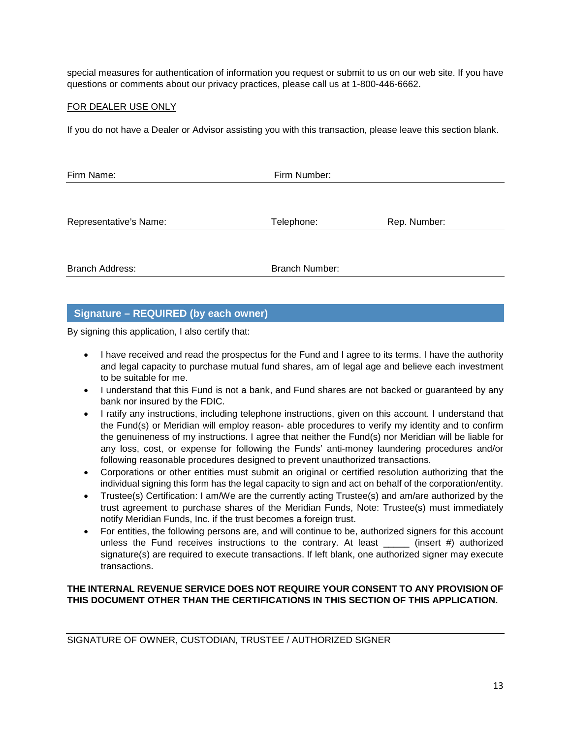special measures for authentication of information you request or submit to us on our web site. If you have questions or comments about our privacy practices, please call us at 1-800-446-6662.

## FOR DEALER USE ONLY

If you do not have a Dealer or Advisor assisting you with this transaction, please leave this section blank.

| Firm Name:<br>Firm Number: |                       |              |  |
|----------------------------|-----------------------|--------------|--|
|                            |                       |              |  |
| Representative's Name:     | Telephone:            | Rep. Number: |  |
|                            |                       |              |  |
| <b>Branch Address:</b>     | <b>Branch Number:</b> |              |  |

# **Signature – REQUIRED (by each owner)**

By signing this application, I also certify that:

- I have received and read the prospectus for the Fund and I agree to its terms. I have the authority and legal capacity to purchase mutual fund shares, am of legal age and believe each investment to be suitable for me.
- I understand that this Fund is not a bank, and Fund shares are not backed or guaranteed by any bank nor insured by the FDIC.
- I ratify any instructions, including telephone instructions, given on this account. I understand that the Fund(s) or Meridian will employ reason- able procedures to verify my identity and to confirm the genuineness of my instructions. I agree that neither the Fund(s) nor Meridian will be liable for any loss, cost, or expense for following the Funds' anti-money laundering procedures and/or following reasonable procedures designed to prevent unauthorized transactions.
- Corporations or other entities must submit an original or certified resolution authorizing that the individual signing this form has the legal capacity to sign and act on behalf of the corporation/entity.
- Trustee(s) Certification: I am/We are the currently acting Trustee(s) and am/are authorized by the trust agreement to purchase shares of the Meridian Funds, Note: Trustee(s) must immediately notify Meridian Funds, Inc. if the trust becomes a foreign trust.
- For entities, the following persons are, and will continue to be, authorized signers for this account unless the Fund receives instructions to the contrary. At least  $\frac{1}{\sqrt{1-\frac{1}{n}}}$  authorized signature(s) are required to execute transactions. If left blank, one authorized signer may execute transactions.

# **THE INTERNAL REVENUE SERVICE DOES NOT REQUIRE YOUR CONSENT TO ANY PROVISION OF THIS DOCUMENT OTHER THAN THE CERTIFICATIONS IN THIS SECTION OF THIS APPLICATION.**